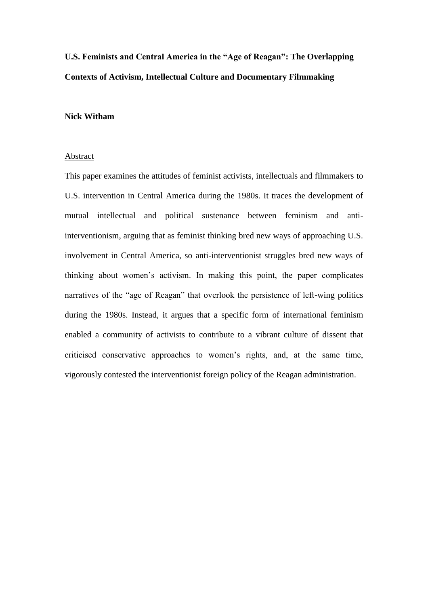# **U.S. Feminists and Central America in the "Age of Reagan": The Overlapping Contexts of Activism, Intellectual Culture and Documentary Filmmaking**

### **Nick Witham**

#### Abstract

This paper examines the attitudes of feminist activists, intellectuals and filmmakers to U.S. intervention in Central America during the 1980s. It traces the development of mutual intellectual and political sustenance between feminism and antiinterventionism, arguing that as feminist thinking bred new ways of approaching U.S. involvement in Central America, so anti-interventionist struggles bred new ways of thinking about women's activism. In making this point, the paper complicates narratives of the "age of Reagan" that overlook the persistence of left-wing politics during the 1980s. Instead, it argues that a specific form of international feminism enabled a community of activists to contribute to a vibrant culture of dissent that criticised conservative approaches to women's rights, and, at the same time, vigorously contested the interventionist foreign policy of the Reagan administration.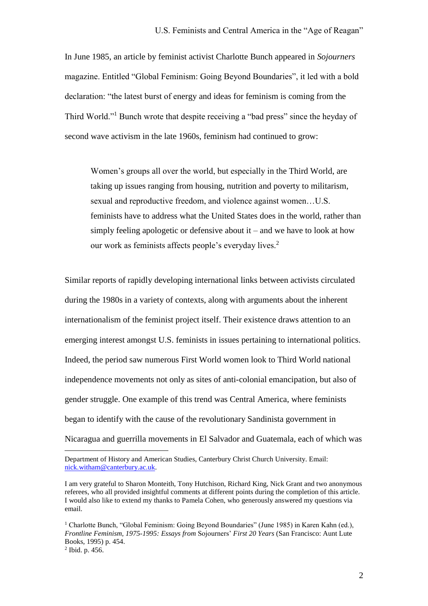In June 1985, an article by feminist activist Charlotte Bunch appeared in *Sojourners* magazine. Entitled "Global Feminism: Going Beyond Boundaries", it led with a bold declaration: "the latest burst of energy and ideas for feminism is coming from the Third World."<sup>1</sup> Bunch wrote that despite receiving a "bad press" since the heyday of second wave activism in the late 1960s, feminism had continued to grow:

Women's groups all over the world, but especially in the Third World, are taking up issues ranging from housing, nutrition and poverty to militarism, sexual and reproductive freedom, and violence against women…U.S. feminists have to address what the United States does in the world, rather than simply feeling apologetic or defensive about it – and we have to look at how our work as feminists affects people's everyday lives.<sup>2</sup>

Similar reports of rapidly developing international links between activists circulated during the 1980s in a variety of contexts, along with arguments about the inherent internationalism of the feminist project itself. Their existence draws attention to an emerging interest amongst U.S. feminists in issues pertaining to international politics. Indeed, the period saw numerous First World women look to Third World national independence movements not only as sites of anti-colonial emancipation, but also of gender struggle. One example of this trend was Central America, where feminists began to identify with the cause of the revolutionary Sandinista government in Nicaragua and guerrilla movements in El Salvador and Guatemala, each of which was

Department of History and American Studies, Canterbury Christ Church University. Email: [nick.witham@canterbury.ac.uk.](mailto:nick.witham@canterbury.ac.uk)

I am very grateful to Sharon Monteith, Tony Hutchison, Richard King, Nick Grant and two anonymous referees, who all provided insightful comments at different points during the completion of this article. I would also like to extend my thanks to Pamela Cohen, who generously answered my questions via email.

<sup>1</sup> Charlotte Bunch, "Global Feminism: Going Beyond Boundaries" (June 1985) in Karen Kahn (ed.), *Frontline Feminism, 1975-1995: Essays from* Sojourners' *First 20 Years* (San Francisco: Aunt Lute Books, 1995) p. 454. 2 Ibid. p. 456.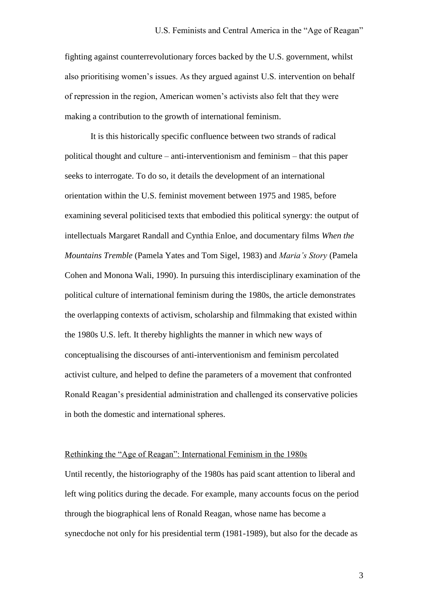fighting against counterrevolutionary forces backed by the U.S. government, whilst also prioritising women's issues. As they argued against U.S. intervention on behalf of repression in the region, American women's activists also felt that they were making a contribution to the growth of international feminism.

It is this historically specific confluence between two strands of radical political thought and culture – anti-interventionism and feminism – that this paper seeks to interrogate. To do so, it details the development of an international orientation within the U.S. feminist movement between 1975 and 1985, before examining several politicised texts that embodied this political synergy: the output of intellectuals Margaret Randall and Cynthia Enloe, and documentary films *When the Mountains Tremble* (Pamela Yates and Tom Sigel, 1983) and *Maria's Story* (Pamela Cohen and Monona Wali, 1990). In pursuing this interdisciplinary examination of the political culture of international feminism during the 1980s, the article demonstrates the overlapping contexts of activism, scholarship and filmmaking that existed within the 1980s U.S. left. It thereby highlights the manner in which new ways of conceptualising the discourses of anti-interventionism and feminism percolated activist culture, and helped to define the parameters of a movement that confronted Ronald Reagan's presidential administration and challenged its conservative policies in both the domestic and international spheres.

## Rethinking the "Age of Reagan": International Feminism in the 1980s

Until recently, the historiography of the 1980s has paid scant attention to liberal and left wing politics during the decade. For example, many accounts focus on the period through the biographical lens of Ronald Reagan, whose name has become a synecdoche not only for his presidential term (1981-1989), but also for the decade as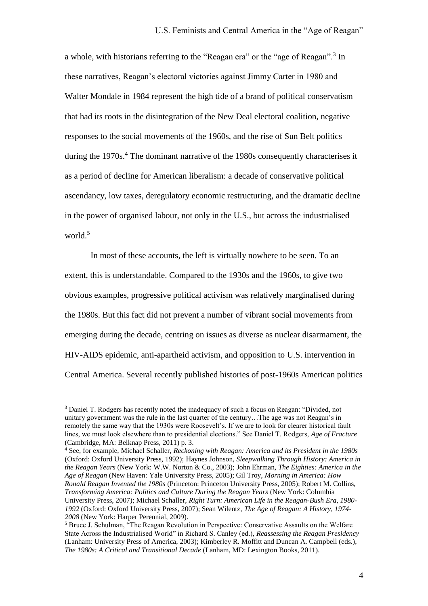a whole, with historians referring to the "Reagan era" or the "age of Reagan".<sup>3</sup> In these narratives, Reagan's electoral victories against Jimmy Carter in 1980 and Walter Mondale in 1984 represent the high tide of a brand of political conservatism that had its roots in the disintegration of the New Deal electoral coalition, negative responses to the social movements of the 1960s, and the rise of Sun Belt politics during the 1970s.<sup>4</sup> The dominant narrative of the 1980s consequently characterises it as a period of decline for American liberalism: a decade of conservative political ascendancy, low taxes, deregulatory economic restructuring, and the dramatic decline in the power of organised labour, not only in the U.S., but across the industrialised world.<sup>5</sup>

In most of these accounts, the left is virtually nowhere to be seen. To an extent, this is understandable. Compared to the 1930s and the 1960s, to give two obvious examples, progressive political activism was relatively marginalised during the 1980s. But this fact did not prevent a number of vibrant social movements from emerging during the decade, centring on issues as diverse as nuclear disarmament, the HIV-AIDS epidemic, anti-apartheid activism, and opposition to U.S. intervention in Central America. Several recently published histories of post-1960s American politics

 $\overline{a}$ 

<sup>4</sup> See, for example, Michael Schaller, *Reckoning with Reagan: America and its President in the 1980s*  (Oxford: Oxford University Press, 1992); Haynes Johnson, *Sleepwalking Through History: America in the Reagan Years* (New York: W.W. Norton & Co., 2003); John Ehrman, *The Eighties: America in the Age of Reagan* (New Haven: Yale University Press, 2005); Gil Troy, *Morning in America: How Ronald Reagan Invented the 1980s* (Princeton: Princeton University Press, 2005); Robert M. Collins, *Transforming America: Politics and Culture During the Reagan Years* (New York: Columbia University Press, 2007); Michael Schaller, *Right Turn: American Life in the Reagan-Bush Era, 1980-*

<sup>3</sup> Daniel T. Rodgers has recently noted the inadequacy of such a focus on Reagan: "Divided, not unitary government was the rule in the last quarter of the century…The age was not Reagan's in remotely the same way that the 1930s were Roosevelt's. If we are to look for clearer historical fault lines, we must look elsewhere than to presidential elections." See Daniel T. Rodgers, *Age of Fracture* (Cambridge, MA: Belknap Press, 2011) p. 3.

*<sup>1992</sup>* (Oxford: Oxford University Press, 2007); Sean Wilentz, *The Age of Reagan: A History, 1974- 2008* (New York: Harper Perennial, 2009).

<sup>&</sup>lt;sup>5</sup> Bruce J. Schulman, "The Reagan Revolution in Perspective: Conservative Assaults on the Welfare State Across the Industrialised World" in Richard S. Canley (ed.), *Reassessing the Reagan Presidency* (Lanham: University Press of America, 2003); Kimberley R. Moffitt and Duncan A. Campbell (eds.), *The 1980s: A Critical and Transitional Decade* (Lanham, MD: Lexington Books, 2011).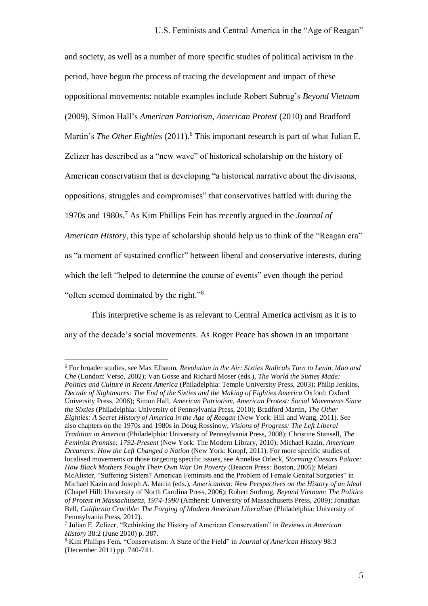and society, as well as a number of more specific studies of political activism in the period, have begun the process of tracing the development and impact of these oppositional movements: notable examples include Robert Subrug's *Beyond Vietnam* (2009), Simon Hall's *American Patriotism, American Protest* (2010) and Bradford Martin's *The Other Eighties* (2011). <sup>6</sup> This important research is part of what Julian E. Zelizer has described as a "new wave" of historical scholarship on the history of American conservatism that is developing "a historical narrative about the divisions, oppositions, struggles and compromises" that conservatives battled with during the 1970s and 1980s.<sup>7</sup> As Kim Phillips Fein has recently argued in the *Journal of American History*, this type of scholarship should help us to think of the "Reagan era" as "a moment of sustained conflict" between liberal and conservative interests, during which the left "helped to determine the course of events" even though the period "often seemed dominated by the right."<sup>8</sup>

This interpretive scheme is as relevant to Central America activism as it is to any of the decade's social movements. As Roger Peace has shown in an important

<sup>6</sup> For broader studies, see Max Elbaum, *Revolution in the Air: Sixties Radicals Turn to Lenin, Mao and Che* (London: Verso, 2002); Van Gosse and Richard Moser (eds.), *The World the Sixties Made: Politics and Culture in Recent America* (Philadelphia: Temple University Press, 2003); Philip Jenkins, *Decade of Nightmares: The End of the Sixties and the Making of Eighties America* Oxford: Oxford University Press, 2006); Simon Hall, *American Patriotism, American Protest: Social Movements Since the Sixties* (Philadelphia: University of Pennsylvania Press, 2010); Bradford Martin, *The Other Eighties: A Secret History of America in the Age of Reagan* (New York: Hill and Wang, 2011). See also chapters on the 1970s and 1980s in Doug Rossinow, *Visions of Progress: The Left Liberal Tradition in America* (Philadelphia: University of Pennsylvania Press, 2008); Christine Stansell, *The Feminist Promise: 1792-Present* (New York: The Modern Library, 2010); Michael Kazin, *American Dreamers: How the Left Changed a Nation* (New York: Knopf, 2011). For more specific studies of localised movements or those targeting specific issues, see Annelise Orleck, *Storming Caesars Palace: How Black Mothers Fought Their Own War On Poverty* (Beacon Press: Boston, 2005); Melani McAlister, "Suffering Sisters? American Feminists and the Problem of Female Genital Surgeries" in Michael Kazin and Joseph A. Martin (eds.), *Americanism: New Perspectives on the History of an Ideal* (Chapel Hill: University of North Carolina Press, 2006); Robert Surbrug, *Beyond Vietnam: The Politics of Protest in Massachusetts, 1974-1990* (Amherst: University of Massachusetts Press, 2009); Jonathan Bell, *California Crucible: The Forging of Modern American Liberalism* (Philadelphia: University of Pennsylvania Press, 2012).

<sup>7</sup> Julian E. Zelizer, "Rethinking the History of American Conservatism" in *Reviews in American History* 38:2 (June 2010) p. 387.

<sup>8</sup> Kim Phillips Fein, "Conservatism: A State of the Field" in *Journal of American History* 98:3 (December 2011) pp. 740-741.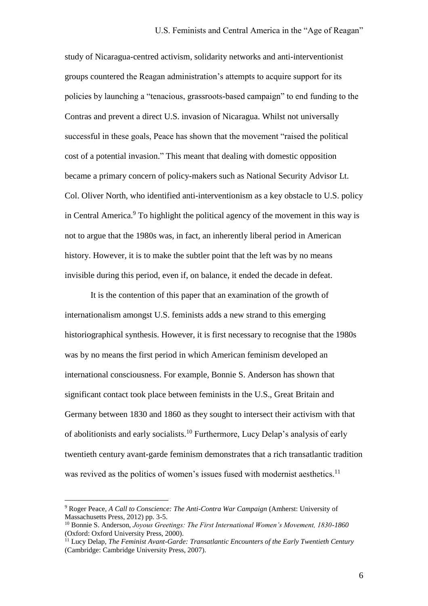study of Nicaragua-centred activism, solidarity networks and anti-interventionist groups countered the Reagan administration's attempts to acquire support for its policies by launching a "tenacious, grassroots-based campaign" to end funding to the Contras and prevent a direct U.S. invasion of Nicaragua. Whilst not universally successful in these goals, Peace has shown that the movement "raised the political cost of a potential invasion." This meant that dealing with domestic opposition became a primary concern of policy-makers such as National Security Advisor Lt. Col. Oliver North, who identified anti-interventionism as a key obstacle to U.S. policy in Central America. <sup>9</sup> To highlight the political agency of the movement in this way is not to argue that the 1980s was, in fact, an inherently liberal period in American history. However, it is to make the subtler point that the left was by no means invisible during this period, even if, on balance, it ended the decade in defeat.

It is the contention of this paper that an examination of the growth of internationalism amongst U.S. feminists adds a new strand to this emerging historiographical synthesis. However, it is first necessary to recognise that the 1980s was by no means the first period in which American feminism developed an international consciousness. For example, Bonnie S. Anderson has shown that significant contact took place between feminists in the U.S., Great Britain and Germany between 1830 and 1860 as they sought to intersect their activism with that of abolitionists and early socialists.<sup>10</sup> Furthermore, Lucy Delap's analysis of early twentieth century avant-garde feminism demonstrates that a rich transatlantic tradition was revived as the politics of women's issues fused with modernist aesthetics.<sup>11</sup>

<sup>9</sup> Roger Peace, *A Call to Conscience: The Anti-Contra War Campaign* (Amherst: University of Massachusetts Press, 2012) pp. 3-5.

<sup>10</sup> Bonnie S. Anderson, *Joyous Greetings: The First International Women's Movement, 1830-1860* (Oxford: Oxford University Press, 2000).

<sup>11</sup> Lucy Delap, *The Feminist Avant-Garde: Transatlantic Encounters of the Early Twentieth Century* (Cambridge: Cambridge University Press, 2007).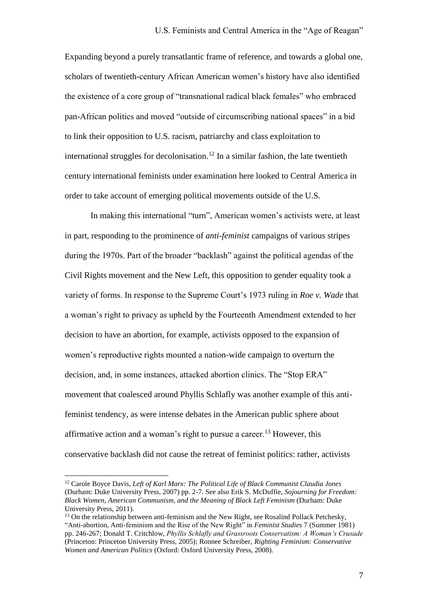Expanding beyond a purely transatlantic frame of reference, and towards a global one, scholars of twentieth-century African American women's history have also identified the existence of a core group of "transnational radical black females" who embraced pan-African politics and moved "outside of circumscribing national spaces" in a bid to link their opposition to U.S. racism, patriarchy and class exploitation to international struggles for decolonisation.<sup>12</sup> In a similar fashion, the late twentieth century international feminists under examination here looked to Central America in order to take account of emerging political movements outside of the U.S.

In making this international "turn", American women's activists were, at least in part, responding to the prominence of *anti-feminist* campaigns of various stripes during the 1970s. Part of the broader "backlash" against the political agendas of the Civil Rights movement and the New Left, this opposition to gender equality took a variety of forms. In response to the Supreme Court's 1973 ruling in *Roe v. Wade* that a woman's right to privacy as upheld by the Fourteenth Amendment extended to her decision to have an abortion, for example, activists opposed to the expansion of women's reproductive rights mounted a nation-wide campaign to overturn the decision, and, in some instances, attacked abortion clinics. The "Stop ERA" movement that coalesced around Phyllis Schlafly was another example of this antifeminist tendency, as were intense debates in the American public sphere about affirmative action and a woman's right to pursue a career.<sup>13</sup> However, this conservative backlash did not cause the retreat of feminist politics: rather, activists

<sup>12</sup> Carole Boyce Davis, *Left of Karl Marx: The Political Life of Black Communist Claudia Jones* (Durham: Duke University Press, 2007) pp. 2-7. See also Erik S. McDuffie, *Sojourning for Freedom: Black Women, American Communism, and the Meaning of Black Left Feminism* (Durham: Duke University Press, 2011).

 $13$  On the relationship between anti-feminism and the New Right, see Rosalind Pollack Petchesky, "Anti-abortion, Anti-feminism and the Rise of the New Right" in *Feminist Studies* 7 (Summer 1981) pp. 246-267; Donald T. Critchlow, *Phyllis Schlafly and Grassroots Conservatism: A Woman's Crusade* (Princeton: Princeton University Press, 2005); Ronnee Schreiber, *Righting Feminism: Conservative Women and American Politics* (Oxford: Oxford University Press, 2008).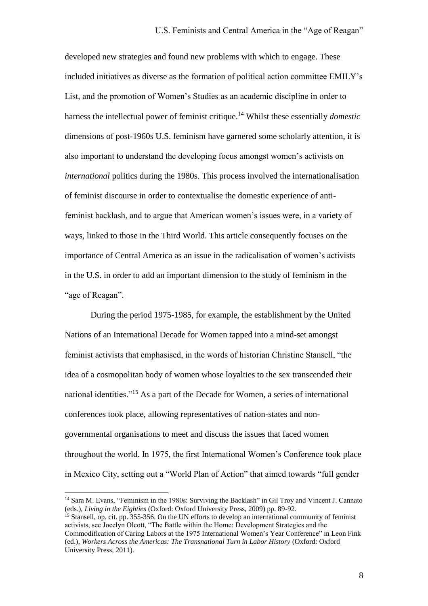developed new strategies and found new problems with which to engage. These included initiatives as diverse as the formation of political action committee EMILY's List, and the promotion of Women's Studies as an academic discipline in order to harness the intellectual power of feminist critique.<sup>14</sup> Whilst these essentially *domestic* dimensions of post-1960s U.S. feminism have garnered some scholarly attention, it is also important to understand the developing focus amongst women's activists on *international* politics during the 1980s. This process involved the internationalisation of feminist discourse in order to contextualise the domestic experience of antifeminist backlash, and to argue that American women's issues were, in a variety of ways, linked to those in the Third World. This article consequently focuses on the importance of Central America as an issue in the radicalisation of women's activists in the U.S. in order to add an important dimension to the study of feminism in the "age of Reagan".

During the period 1975-1985, for example, the establishment by the United Nations of an International Decade for Women tapped into a mind-set amongst feminist activists that emphasised, in the words of historian Christine Stansell, "the idea of a cosmopolitan body of women whose loyalties to the sex transcended their national identities."<sup>15</sup> As a part of the Decade for Women, a series of international conferences took place, allowing representatives of nation-states and nongovernmental organisations to meet and discuss the issues that faced women throughout the world. In 1975, the first International Women's Conference took place in Mexico City, setting out a "World Plan of Action" that aimed towards "full gender

<sup>&</sup>lt;sup>14</sup> Sara M. Evans, "Feminism in the 1980s: Surviving the Backlash" in Gil Troy and Vincent J. Cannato (eds.), *Living in the Eighties* (Oxford: Oxford University Press, 2009) pp. 89-92.

<sup>&</sup>lt;sup>15</sup> Stansell, op. cit. pp. 355-356. On the UN efforts to develop an international community of feminist activists, see Jocelyn Olcott, "The Battle within the Home: Development Strategies and the Commodification of Caring Labors at the 1975 International Women's Year Conference" in Leon Fink (ed.), *Workers Across the Americas: The Transnational Turn in Labor History* (Oxford: Oxford University Press, 2011).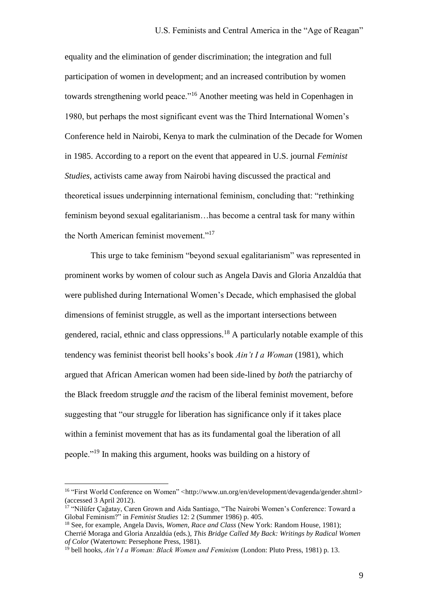equality and the elimination of gender discrimination; the integration and full participation of women in development; and an increased contribution by women towards strengthening world peace."<sup>16</sup> Another meeting was held in Copenhagen in 1980, but perhaps the most significant event was the Third International Women's Conference held in Nairobi, Kenya to mark the culmination of the Decade for Women in 1985. According to a report on the event that appeared in U.S. journal *Feminist Studies*, activists came away from Nairobi having discussed the practical and theoretical issues underpinning international feminism, concluding that: "rethinking feminism beyond sexual egalitarianism…has become a central task for many within the North American feminist movement."<sup>17</sup>

This urge to take feminism "beyond sexual egalitarianism" was represented in prominent works by women of colour such as Angela Davis and Gloria Anzaldúa that were published during International Women's Decade, which emphasised the global dimensions of feminist struggle, as well as the important intersections between gendered, racial, ethnic and class oppressions.<sup>18</sup> A particularly notable example of this tendency was feminist theorist bell hooks's book *Ain't I a Woman* (1981), which argued that African American women had been side-lined by *both* the patriarchy of the Black freedom struggle *and* the racism of the liberal feminist movement, before suggesting that "our struggle for liberation has significance only if it takes place within a feminist movement that has as its fundamental goal the liberation of all people."<sup>19</sup> In making this argument, hooks was building on a history of

<sup>&</sup>lt;sup>16</sup> "First World Conference on Women" <http://www.un.org/en/development/devagenda/gender.shtml> (accessed 3 April 2012).

<sup>&</sup>lt;sup>17</sup> "Nilüfer Çağatay, Caren Grown and Aida Santiago, "The Nairobi Women's Conference: Toward a Global Feminism?" in *Feminist Studies* 12: 2 (Summer 1986) p. 405.

<sup>18</sup> See, for example, Angela Davis, *Women, Race and Class* (New York: Random House, 1981); Cherrié Moraga and Gloria Anzaldúa (eds.), *This Bridge Called My Back: Writings by Radical Women of Color* (Watertown: Persephone Press, 1981).

<sup>19</sup> bell hooks, *Ain't I a Woman: Black Women and Feminism* (London: Pluto Press, 1981) p. 13.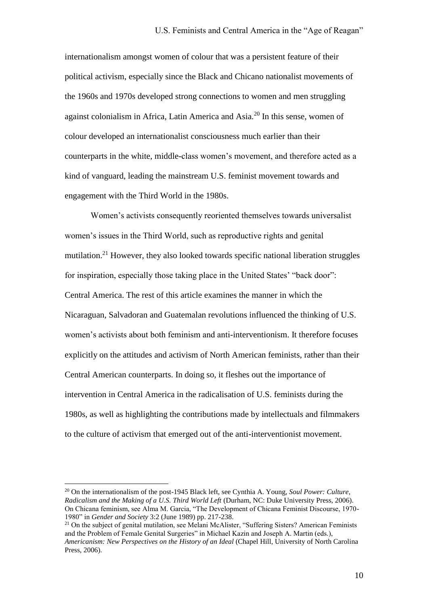internationalism amongst women of colour that was a persistent feature of their political activism, especially since the Black and Chicano nationalist movements of the 1960s and 1970s developed strong connections to women and men struggling against colonialism in Africa, Latin America and Asia.<sup>20</sup> In this sense, women of colour developed an internationalist consciousness much earlier than their counterparts in the white, middle-class women's movement, and therefore acted as a kind of vanguard, leading the mainstream U.S. feminist movement towards and engagement with the Third World in the 1980s.

Women's activists consequently reoriented themselves towards universalist women's issues in the Third World, such as reproductive rights and genital mutilation.<sup>21</sup> However, they also looked towards specific national liberation struggles for inspiration, especially those taking place in the United States' "back door": Central America. The rest of this article examines the manner in which the Nicaraguan, Salvadoran and Guatemalan revolutions influenced the thinking of U.S. women's activists about both feminism and anti-interventionism. It therefore focuses explicitly on the attitudes and activism of North American feminists, rather than their Central American counterparts. In doing so, it fleshes out the importance of intervention in Central America in the radicalisation of U.S. feminists during the 1980s, as well as highlighting the contributions made by intellectuals and filmmakers to the culture of activism that emerged out of the anti-interventionist movement.

<sup>20</sup> On the internationalism of the post-1945 Black left, see Cynthia A. Young, *Soul Power: Culture, Radicalism and the Making of a U.S. Third World Left* (Durham, NC: Duke University Press, 2006). On Chicana feminism, see Alma M. Garcia, "The Development of Chicana Feminist Discourse, 1970- 1980" in *Gender and Society* 3:2 (June 1989) pp. 217-238.

<sup>&</sup>lt;sup>21</sup> On the subject of genital mutilation, see Melani McAlister, "Suffering Sisters? American Feminists and the Problem of Female Genital Surgeries" in Michael Kazin and Joseph A. Martin (eds.), *Americanism: New Perspectives on the History of an Ideal* (Chapel Hill, University of North Carolina Press, 2006).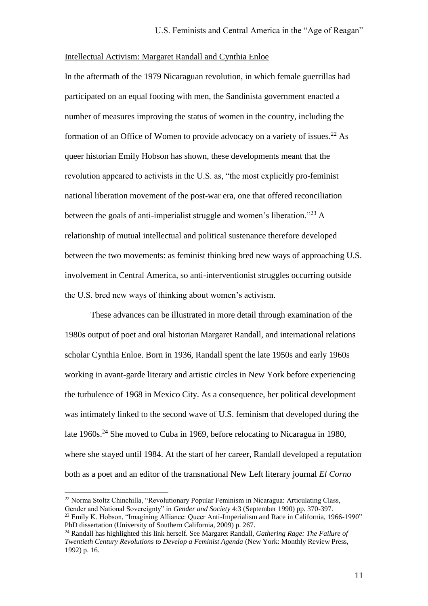#### Intellectual Activism: Margaret Randall and Cynthia Enloe

In the aftermath of the 1979 Nicaraguan revolution, in which female guerrillas had participated on an equal footing with men, the Sandinista government enacted a number of measures improving the status of women in the country, including the formation of an Office of Women to provide advocacy on a variety of issues.<sup>22</sup> As queer historian Emily Hobson has shown, these developments meant that the revolution appeared to activists in the U.S. as, "the most explicitly pro-feminist national liberation movement of the post-war era, one that offered reconciliation between the goals of anti-imperialist struggle and women's liberation."<sup>23</sup> A relationship of mutual intellectual and political sustenance therefore developed between the two movements: as feminist thinking bred new ways of approaching U.S. involvement in Central America, so anti-interventionist struggles occurring outside the U.S. bred new ways of thinking about women's activism.

These advances can be illustrated in more detail through examination of the 1980s output of poet and oral historian Margaret Randall, and international relations scholar Cynthia Enloe. Born in 1936, Randall spent the late 1950s and early 1960s working in avant-garde literary and artistic circles in New York before experiencing the turbulence of 1968 in Mexico City. As a consequence, her political development was intimately linked to the second wave of U.S. feminism that developed during the late 1960s.<sup>24</sup> She moved to Cuba in 1969, before relocating to Nicaragua in 1980, where she stayed until 1984. At the start of her career, Randall developed a reputation both as a poet and an editor of the transnational New Left literary journal *El Corno* 

<sup>22</sup> Norma Stoltz Chinchilla, "Revolutionary Popular Feminism in Nicaragua: Articulating Class, Gender and National Sovereignty" in *Gender and Society* 4:3 (September 1990) pp. 370-397. <sup>23</sup> Emily K. Hobson, "Imagining Alliance: Queer Anti-Imperialism and Race in California, 1966-1990" PhD dissertation (University of Southern California, 2009) p. 267.

<sup>24</sup> Randall has highlighted this link herself. See Margaret Randall, *Gathering Rage: The Failure of Twentieth Century Revolutions to Develop a Feminist Agenda* (New York: Monthly Review Press, 1992) p. 16.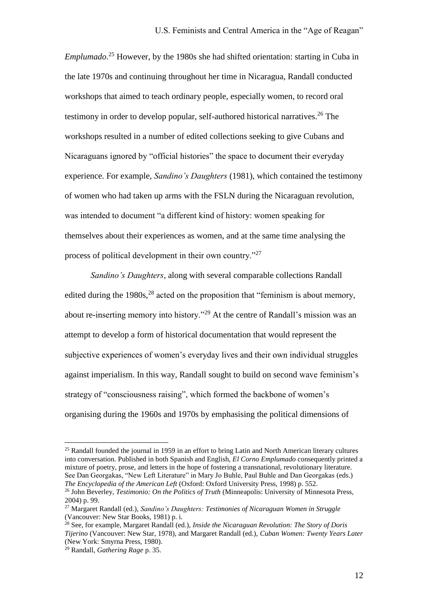*Emplumado*. <sup>25</sup> However, by the 1980s she had shifted orientation: starting in Cuba in the late 1970s and continuing throughout her time in Nicaragua, Randall conducted workshops that aimed to teach ordinary people, especially women, to record oral testimony in order to develop popular, self-authored historical narratives.<sup>26</sup> The workshops resulted in a number of edited collections seeking to give Cubans and Nicaraguans ignored by "official histories" the space to document their everyday experience. For example, *Sandino's Daughters* (1981), which contained the testimony of women who had taken up arms with the FSLN during the Nicaraguan revolution, was intended to document "a different kind of history: women speaking for themselves about their experiences as women, and at the same time analysing the process of political development in their own country."<sup>27</sup>

*Sandino's Daughters*, along with several comparable collections Randall edited during the  $1980s$ ,<sup>28</sup> acted on the proposition that "feminism is about memory, about re-inserting memory into history."<sup>29</sup> At the centre of Randall's mission was an attempt to develop a form of historical documentation that would represent the subjective experiences of women's everyday lives and their own individual struggles against imperialism. In this way, Randall sought to build on second wave feminism's strategy of "consciousness raising", which formed the backbone of women's organising during the 1960s and 1970s by emphasising the political dimensions of

<sup>&</sup>lt;sup>25</sup> Randall founded the journal in 1959 in an effort to bring Latin and North American literary cultures into conversation. Published in both Spanish and English, *El Corno Emplumado* consequently printed a mixture of poetry, prose, and letters in the hope of fostering a transnational, revolutionary literature. See Dan Georgakas, "New Left Literature" in Mary Jo Buhle, Paul Buhle and Dan Georgakas (eds.) *The Encyclopedia of the American Left* (Oxford: Oxford University Press, 1998) p. 552.

<sup>26</sup> John Beverley, *Testimonio: On the Politics of Truth* (Minneapolis: University of Minnesota Press, 2004) p. 99.

<sup>27</sup> Margaret Randall (ed.), *Sandino's Daughters: Testimonies of Nicaraguan Women in Struggle* (Vancouver: New Star Books, 1981) p. i.

<sup>28</sup> See, for example, Margaret Randall (ed.), *Inside the Nicaraguan Revolution: The Story of Doris Tijerino* (Vancouver: New Star, 1978), and Margaret Randall (ed.), *Cuban Women: Twenty Years Later* (New York: Smyrna Press, 1980).

<sup>29</sup> Randall, *Gathering Rage* p. 35.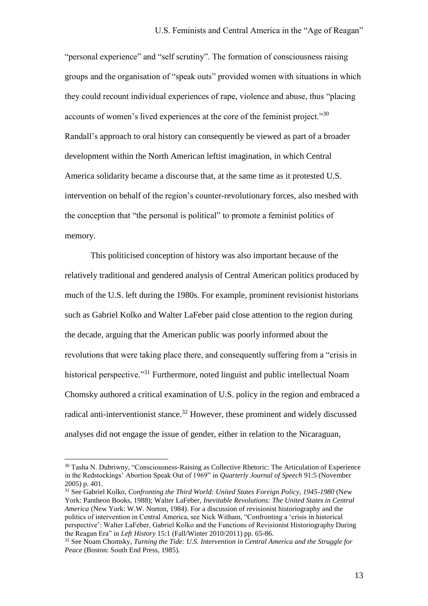"personal experience" and "self scrutiny". The formation of consciousness raising groups and the organisation of "speak outs" provided women with situations in which they could recount individual experiences of rape, violence and abuse, thus "placing accounts of women's lived experiences at the core of the feminist project."<sup>30</sup> Randall's approach to oral history can consequently be viewed as part of a broader development within the North American leftist imagination, in which Central America solidarity became a discourse that, at the same time as it protested U.S. intervention on behalf of the region's counter-revolutionary forces, also meshed with the conception that "the personal is political" to promote a feminist politics of memory.

This politicised conception of history was also important because of the relatively traditional and gendered analysis of Central American politics produced by much of the U.S. left during the 1980s. For example, prominent revisionist historians such as Gabriel Kolko and Walter LaFeber paid close attention to the region during the decade, arguing that the American public was poorly informed about the revolutions that were taking place there, and consequently suffering from a "crisis in historical perspective."<sup>31</sup> Furthermore, noted linguist and public intellectual Noam Chomsky authored a critical examination of U.S. policy in the region and embraced a radical anti-interventionist stance.<sup>32</sup> However, these prominent and widely discussed analyses did not engage the issue of gender, either in relation to the Nicaraguan,

<sup>&</sup>lt;sup>30</sup> Tasha N. Dubriwny, "Consciousness-Raising as Collective Rhetoric: The Articulation of Experience in the Redstockings' Abortion Speak Out of 1969" in *Quarterly Journal of Speech* 91:5 (November 2005) p. 401.

<sup>&</sup>lt;sup>31</sup> See Gabriel Kolko, *Confronting the Third World: United States Foreign Policy, 1945-1980* (New York: Pantheon Books, 1988); Walter LaFeber, *Inevitable Revolutions: The United States in Central America* (New York: W.W. Norton, 1984). For a discussion of revisionist historiography and the politics of intervention in Central America, see Nick Witham, "Confronting a 'crisis in historical perspective': Walter LaFeber, Gabriel Kolko and the Functions of Revisionist Historiography During the Reagan Era" in *Left History* 15:1 (Fall/Winter 2010/2011) pp. 65-86.

<sup>32</sup> See Noam Chomsky, *Turning the Tide: U.S. Intervention in Central America and the Struggle for Peace* (Boston: South End Press, 1985).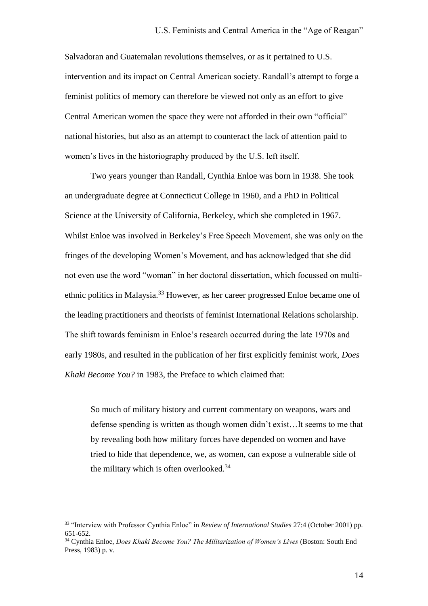Salvadoran and Guatemalan revolutions themselves, or as it pertained to U.S. intervention and its impact on Central American society. Randall's attempt to forge a feminist politics of memory can therefore be viewed not only as an effort to give Central American women the space they were not afforded in their own "official" national histories, but also as an attempt to counteract the lack of attention paid to women's lives in the historiography produced by the U.S. left itself.

Two years younger than Randall, Cynthia Enloe was born in 1938. She took an undergraduate degree at Connecticut College in 1960, and a PhD in Political Science at the University of California, Berkeley, which she completed in 1967. Whilst Enloe was involved in Berkeley's Free Speech Movement, she was only on the fringes of the developing Women's Movement, and has acknowledged that she did not even use the word "woman" in her doctoral dissertation, which focussed on multiethnic politics in Malaysia.<sup>33</sup> However, as her career progressed Enloe became one of the leading practitioners and theorists of feminist International Relations scholarship. The shift towards feminism in Enloe's research occurred during the late 1970s and early 1980s, and resulted in the publication of her first explicitly feminist work, *Does Khaki Become You?* in 1983, the Preface to which claimed that:

So much of military history and current commentary on weapons, wars and defense spending is written as though women didn't exist…It seems to me that by revealing both how military forces have depended on women and have tried to hide that dependence, we, as women, can expose a vulnerable side of the military which is often overlooked.<sup>34</sup>

<sup>33</sup> "Interview with Professor Cynthia Enloe" in *Review of International Studies* 27:4 (October 2001) pp. 651-652.

<sup>34</sup> Cynthia Enloe, *Does Khaki Become You? The Militarization of Women's Lives* (Boston: South End Press, 1983) p. v.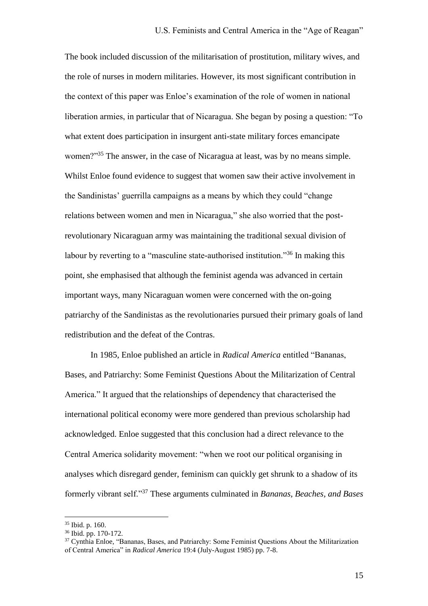The book included discussion of the militarisation of prostitution, military wives, and the role of nurses in modern militaries. However, its most significant contribution in the context of this paper was Enloe's examination of the role of women in national liberation armies, in particular that of Nicaragua. She began by posing a question: "To what extent does participation in insurgent anti-state military forces emancipate women?"<sup>35</sup> The answer, in the case of Nicaragua at least, was by no means simple. Whilst Enloe found evidence to suggest that women saw their active involvement in the Sandinistas' guerrilla campaigns as a means by which they could "change relations between women and men in Nicaragua," she also worried that the postrevolutionary Nicaraguan army was maintaining the traditional sexual division of labour by reverting to a "masculine state-authorised institution."<sup>36</sup> In making this point, she emphasised that although the feminist agenda was advanced in certain important ways, many Nicaraguan women were concerned with the on-going patriarchy of the Sandinistas as the revolutionaries pursued their primary goals of land redistribution and the defeat of the Contras.

In 1985, Enloe published an article in *Radical America* entitled "Bananas, Bases, and Patriarchy: Some Feminist Questions About the Militarization of Central America." It argued that the relationships of dependency that characterised the international political economy were more gendered than previous scholarship had acknowledged. Enloe suggested that this conclusion had a direct relevance to the Central America solidarity movement: "when we root our political organising in analyses which disregard gender, feminism can quickly get shrunk to a shadow of its formerly vibrant self."<sup>37</sup> These arguments culminated in *Bananas, Beaches, and Bases*

<sup>35</sup> Ibid. p. 160.

<sup>36</sup> Ibid. pp. 170-172.

<sup>&</sup>lt;sup>37</sup> Cynthia Enloe, "Bananas, Bases, and Patriarchy: Some Feminist Questions About the Militarization of Central America" in *Radical America* 19:4 (July-August 1985) pp. 7-8.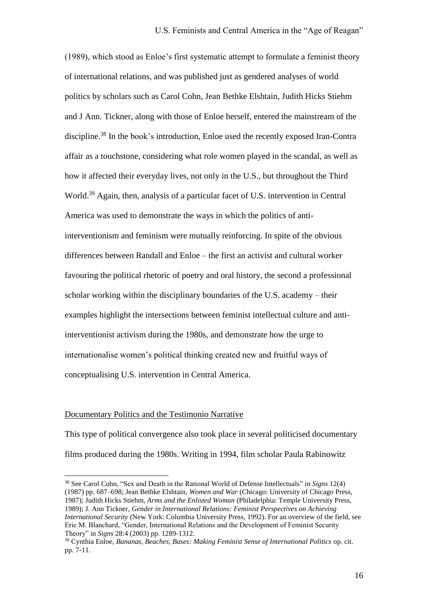(1989), which stood as Enloe's first systematic attempt to formulate a feminist theory of international relations, and was published just as gendered analyses of world politics by scholars such as Carol Cohn, Jean Bethke Elshtain, Judith Hicks Stiehm and J Ann. Tickner, along with those of Enloe herself, entered the mainstream of the discipline. <sup>38</sup> In the book's introduction, Enloe used the recently exposed Iran-Contra affair as a touchstone, considering what role women played in the scandal, as well as how it affected their everyday lives, not only in the U.S., but throughout the Third World.<sup>39</sup> Again, then, analysis of a particular facet of U.S. intervention in Central America was used to demonstrate the ways in which the politics of antiinterventionism and feminism were mutually reinforcing. In spite of the obvious differences between Randall and Enloe – the first an activist and cultural worker favouring the political rhetoric of poetry and oral history, the second a professional scholar working within the disciplinary boundaries of the U.S. academy – their examples highlight the intersections between feminist intellectual culture and antiinterventionist activism during the 1980s, and demonstrate how the urge to internationalise women's political thinking created new and fruitful ways of conceptualising U.S. intervention in Central America.

#### Documentary Politics and the Testimonio Narrative

 $\overline{a}$ 

This type of political convergence also took place in several politicised documentary films produced during the 1980s. Writing in 1994, film scholar Paula Rabinowitz

<sup>38</sup> See Carol Cohn, "Sex and Death in the Rational World of Defense Intellectuals" in *Signs* 12(4) (1987) pp. 687–698; Jean Bethke Elshtain, *Women and War* (Chicago: University of Chicago Press, 1987); Judith Hicks Stiehm, *Arms and the Enlisted Woman* (Philadelphia: Temple University Press, 1989); J. Ann Tickner, *Gender in International Relations: Feminist Perspectives on Achieving International Security* (New York: Columbia University Press, 1992). For an overview of the field, see Eric M. Blanchard, "Gender, International Relations and the Development of Feminist Security Theory" in *Signs* 28:4 (2003) pp. 1289-1312.

<sup>39</sup> Cynthia Enloe, *Bananas, Beaches, Bases: Making Feminist Sense of International Politics* op. cit. pp. 7-11.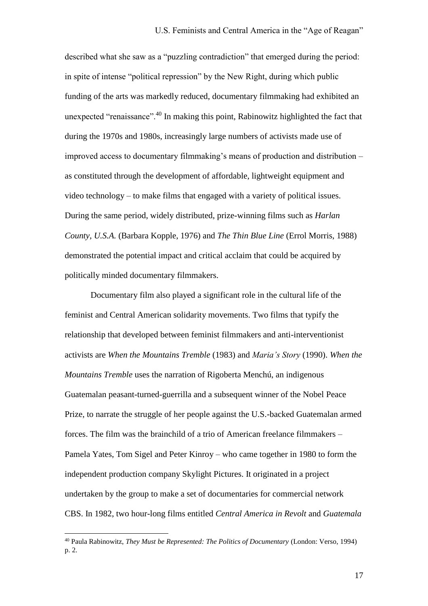described what she saw as a "puzzling contradiction" that emerged during the period: in spite of intense "political repression" by the New Right, during which public funding of the arts was markedly reduced, documentary filmmaking had exhibited an unexpected "renaissance".<sup>40</sup> In making this point, Rabinowitz highlighted the fact that during the 1970s and 1980s, increasingly large numbers of activists made use of improved access to documentary filmmaking's means of production and distribution – as constituted through the development of affordable, lightweight equipment and video technology – to make films that engaged with a variety of political issues. During the same period, widely distributed, prize-winning films such as *Harlan County, U.S.A.* (Barbara Kopple, 1976) and *The Thin Blue Line* (Errol Morris, 1988) demonstrated the potential impact and critical acclaim that could be acquired by politically minded documentary filmmakers.

Documentary film also played a significant role in the cultural life of the feminist and Central American solidarity movements. Two films that typify the relationship that developed between feminist filmmakers and anti-interventionist activists are *When the Mountains Tremble* (1983) and *Maria's Story* (1990). *When the Mountains Tremble* uses the narration of Rigoberta Menchú, an indigenous Guatemalan peasant-turned-guerrilla and a subsequent winner of the Nobel Peace Prize, to narrate the struggle of her people against the U.S.-backed Guatemalan armed forces. The film was the brainchild of a trio of American freelance filmmakers – Pamela Yates, Tom Sigel and Peter Kinroy – who came together in 1980 to form the independent production company Skylight Pictures. It originated in a project undertaken by the group to make a set of documentaries for commercial network CBS. In 1982, two hour-long films entitled *Central America in Revolt* and *Guatemala*

<sup>40</sup> Paula Rabinowitz, *They Must be Represented: The Politics of Documentary* (London: Verso, 1994) p. 2.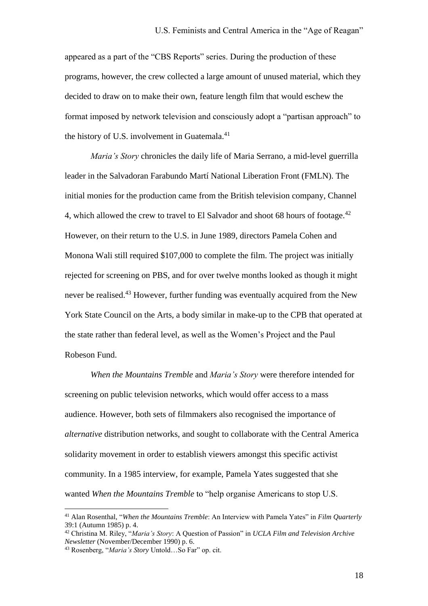appeared as a part of the "CBS Reports" series. During the production of these programs, however, the crew collected a large amount of unused material, which they decided to draw on to make their own, feature length film that would eschew the format imposed by network television and consciously adopt a "partisan approach" to the history of U.S. involvement in Guatemala.<sup>41</sup>

*Maria's Story* chronicles the daily life of Maria Serrano, a mid-level guerrilla leader in the Salvadoran Farabundo Martí National Liberation Front (FMLN). The initial monies for the production came from the British television company, Channel 4, which allowed the crew to travel to El Salvador and shoot 68 hours of footage.<sup>42</sup> However, on their return to the U.S. in June 1989, directors Pamela Cohen and Monona Wali still required \$107,000 to complete the film. The project was initially rejected for screening on PBS, and for over twelve months looked as though it might never be realised.<sup>43</sup> However, further funding was eventually acquired from the New York State Council on the Arts, a body similar in make-up to the CPB that operated at the state rather than federal level, as well as the Women's Project and the Paul Robeson Fund.

*When the Mountains Tremble* and *Maria's Story* were therefore intended for screening on public television networks, which would offer access to a mass audience. However, both sets of filmmakers also recognised the importance of *alternative* distribution networks, and sought to collaborate with the Central America solidarity movement in order to establish viewers amongst this specific activist community. In a 1985 interview, for example, Pamela Yates suggested that she wanted *When the Mountains Tremble* to "help organise Americans to stop U.S.

<sup>41</sup> Alan Rosenthal, "*When the Mountains Tremble*: An Interview with Pamela Yates" in *Film Quarterly* 39:1 (Autumn 1985) p. 4.

<sup>42</sup> Christina M. Riley, "*Maria's Story*: A Question of Passion" in *UCLA Film and Television Archive Newsletter* (November/December 1990) p. 6.

<sup>43</sup> Rosenberg, "*Maria's Story* Untold…So Far" op. cit.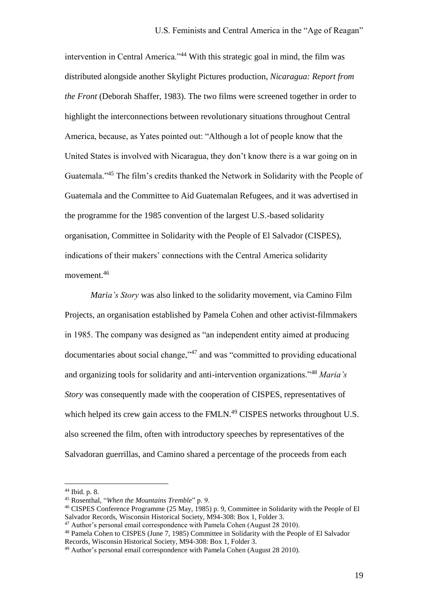intervention in Central America."<sup>44</sup> With this strategic goal in mind, the film was distributed alongside another Skylight Pictures production, *Nicaragua: Report from the Front* (Deborah Shaffer, 1983). The two films were screened together in order to highlight the interconnections between revolutionary situations throughout Central America, because, as Yates pointed out: "Although a lot of people know that the United States is involved with Nicaragua, they don't know there is a war going on in Guatemala."<sup>45</sup> The film's credits thanked the Network in Solidarity with the People of Guatemala and the Committee to Aid Guatemalan Refugees, and it was advertised in the programme for the 1985 convention of the largest U.S.-based solidarity organisation, Committee in Solidarity with the People of El Salvador (CISPES), indications of their makers' connections with the Central America solidarity movement.<sup>46</sup>

*Maria's Story* was also linked to the solidarity movement, via Camino Film Projects, an organisation established by Pamela Cohen and other activist-filmmakers in 1985. The company was designed as "an independent entity aimed at producing documentaries about social change,"<sup>47</sup> and was "committed to providing educational and organizing tools for solidarity and anti-intervention organizations."<sup>48</sup> *Maria's Story* was consequently made with the cooperation of CISPES, representatives of which helped its crew gain access to the FMLN.<sup>49</sup> CISPES networks throughout U.S. also screened the film, often with introductory speeches by representatives of the Salvadoran guerrillas, and Camino shared a percentage of the proceeds from each

<sup>44</sup> Ibid. p. 8.

<sup>45</sup> Rosenthal, "*When the Mountains Tremble*" p. 9.

<sup>46</sup> CISPES Conference Programme (25 May, 1985) p. 9, Committee in Solidarity with the People of El Salvador Records, Wisconsin Historical Society, M94-308: Box 1, Folder 3.

<sup>47</sup> Author's personal email correspondence with Pamela Cohen (August 28 2010).

<sup>48</sup> Pamela Cohen to CISPES (June 7, 1985) Committee in Solidarity with the People of El Salvador Records, Wisconsin Historical Society, M94-308: Box 1, Folder 3.

<sup>49</sup> Author's personal email correspondence with Pamela Cohen (August 28 2010).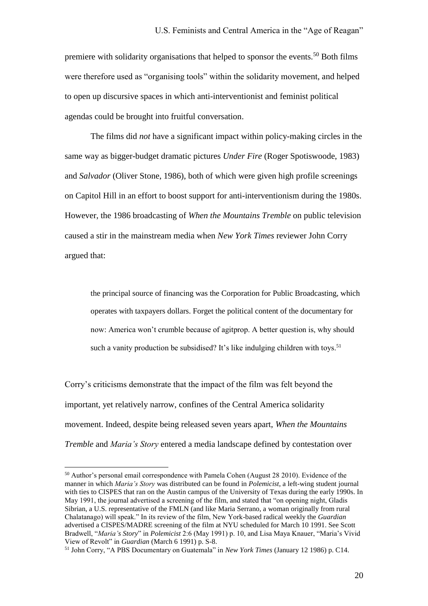premiere with solidarity organisations that helped to sponsor the events.<sup>50</sup> Both films were therefore used as "organising tools" within the solidarity movement, and helped to open up discursive spaces in which anti-interventionist and feminist political agendas could be brought into fruitful conversation.

The films did *not* have a significant impact within policy-making circles in the same way as bigger-budget dramatic pictures *Under Fire* (Roger Spotiswoode, 1983) and *Salvador* (Oliver Stone, 1986), both of which were given high profile screenings on Capitol Hill in an effort to boost support for anti-interventionism during the 1980s. However, the 1986 broadcasting of *When the Mountains Tremble* on public television caused a stir in the mainstream media when *New York Times* reviewer John Corry argued that:

the principal source of financing was the Corporation for Public Broadcasting, which operates with taxpayers dollars. Forget the political content of the documentary for now: America won't crumble because of agitprop. A better question is, why should such a vanity production be subsidised? It's like indulging children with toys.<sup>51</sup>

Corry's criticisms demonstrate that the impact of the film was felt beyond the important, yet relatively narrow, confines of the Central America solidarity movement. Indeed, despite being released seven years apart, *When the Mountains Tremble* and *Maria's Story* entered a media landscape defined by contestation over

<sup>50</sup> Author's personal email correspondence with Pamela Cohen (August 28 2010). Evidence of the manner in which *Maria's Story* was distributed can be found in *Polemicist*, a left-wing student journal with ties to CISPES that ran on the Austin campus of the University of Texas during the early 1990s. In May 1991, the journal advertised a screening of the film, and stated that "on opening night, Gladis Sibrian, a U.S. representative of the FMLN (and like Maria Serrano, a woman originally from rural Chalatanago) will speak." In its review of the film, New York-based radical weekly the *Guardian* advertised a CISPES/MADRE screening of the film at NYU scheduled for March 10 1991. See Scott Bradwell, "*Maria's Story*" in *Polemicist* 2:6 (May 1991) p. 10, and Lisa Maya Knauer, "Maria's Vivid View of Revolt" in *Guardian* (March 6 1991) p. S-8.

<sup>51</sup> John Corry, "A PBS Documentary on Guatemala" in *New York Times* (January 12 1986) p. C14.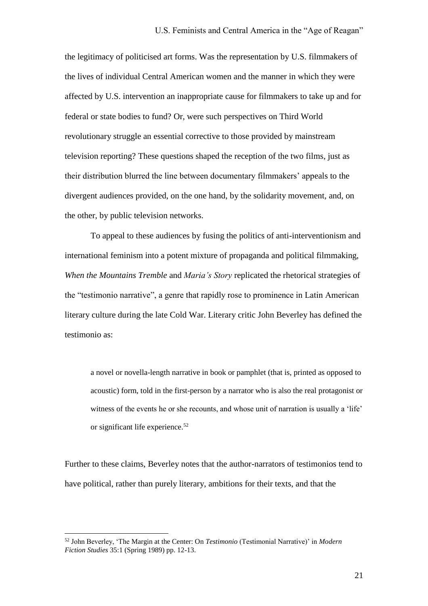the legitimacy of politicised art forms. Was the representation by U.S. filmmakers of the lives of individual Central American women and the manner in which they were affected by U.S. intervention an inappropriate cause for filmmakers to take up and for federal or state bodies to fund? Or, were such perspectives on Third World revolutionary struggle an essential corrective to those provided by mainstream television reporting? These questions shaped the reception of the two films, just as their distribution blurred the line between documentary filmmakers' appeals to the divergent audiences provided, on the one hand, by the solidarity movement, and, on the other, by public television networks.

To appeal to these audiences by fusing the politics of anti-interventionism and international feminism into a potent mixture of propaganda and political filmmaking, *When the Mountains Tremble* and *Maria's Story* replicated the rhetorical strategies of the "testimonio narrative", a genre that rapidly rose to prominence in Latin American literary culture during the late Cold War. Literary critic John Beverley has defined the testimonio as:

a novel or novella-length narrative in book or pamphlet (that is, printed as opposed to acoustic) form, told in the first-person by a narrator who is also the real protagonist or witness of the events he or she recounts, and whose unit of narration is usually a 'life' or significant life experience.<sup>52</sup>

Further to these claims, Beverley notes that the author-narrators of testimonios tend to have political, rather than purely literary, ambitions for their texts, and that the

<sup>52</sup> John Beverley, 'The Margin at the Center: On *Testimonio* (Testimonial Narrative)' in *Modern Fiction Studies* 35:1 (Spring 1989) pp. 12-13.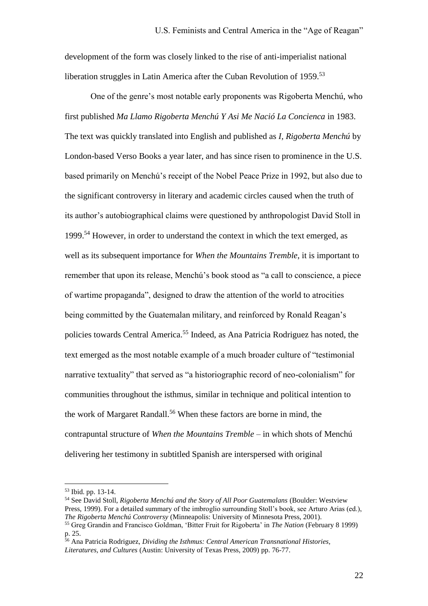development of the form was closely linked to the rise of anti-imperialist national liberation struggles in Latin America after the Cuban Revolution of  $1959$ <sup>53</sup>

One of the genre's most notable early proponents was Rigoberta Menchú, who first published *Ma Llamo Rigoberta Menchú Y Asi Me Nació La Concienca* in 1983. The text was quickly translated into English and published as *I, Rigoberta Menchú* by London-based Verso Books a year later, and has since risen to prominence in the U.S. based primarily on Menchú's receipt of the Nobel Peace Prize in 1992, but also due to the significant controversy in literary and academic circles caused when the truth of its author's autobiographical claims were questioned by anthropologist David Stoll in 1999.<sup>54</sup> However, in order to understand the context in which the text emerged, as well as its subsequent importance for *When the Mountains Tremble*, it is important to remember that upon its release, Menchú's book stood as "a call to conscience, a piece of wartime propaganda", designed to draw the attention of the world to atrocities being committed by the Guatemalan military, and reinforced by Ronald Reagan's policies towards Central America.<sup>55</sup> Indeed, as Ana Patricia Rodriguez has noted, the text emerged as the most notable example of a much broader culture of "testimonial narrative textuality" that served as "a historiographic record of neo-colonialism" for communities throughout the isthmus, similar in technique and political intention to the work of Margaret Randall.<sup>56</sup> When these factors are borne in mind, the contrapuntal structure of *When the Mountains Tremble* – in which shots of Menchú delivering her testimony in subtitled Spanish are interspersed with original

<sup>53</sup> Ibid. pp. 13-14.

<sup>54</sup> See David Stoll, *Rigoberta Menchú and the Story of All Poor Guatemalans* (Boulder: Westview Press, 1999). For a detailed summary of the imbroglio surrounding Stoll's book, see Arturo Arias (ed.), *The Rigoberta Menchú Controversy* (Minneapolis: University of Minnesota Press, 2001). <sup>55</sup> Greg Grandin and Francisco Goldman, 'Bitter Fruit for Rigoberta' in *The Nation* (February 8 1999)

p. 25.

<sup>56</sup> Ana Patricia Rodriguez, *Dividing the Isthmus: Central American Transnational Histories, Literatures, and Cultures* (Austin: University of Texas Press, 2009) pp. 76-77.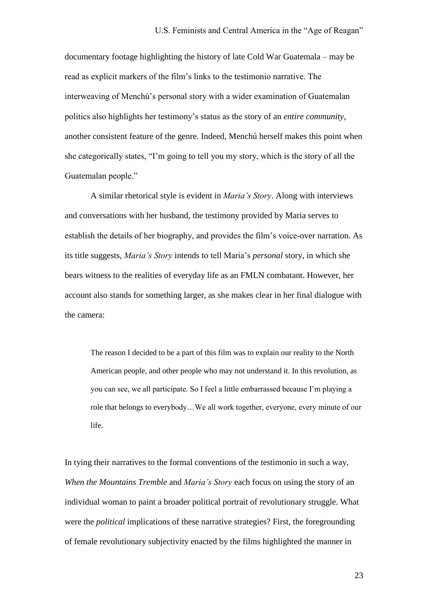documentary footage highlighting the history of late Cold War Guatemala – may be read as explicit markers of the film's links to the testimonio narrative. The interweaving of Menchú's personal story with a wider examination of Guatemalan politics also highlights her testimony's status as the story of an *entire community*, another consistent feature of the genre. Indeed, Menchú herself makes this point when she categorically states, "I'm going to tell you my story, which is the story of all the Guatemalan people."

A similar rhetorical style is evident in *Maria's Story*. Along with interviews and conversations with her husband, the testimony provided by Maria serves to establish the details of her biography, and provides the film's voice-over narration. As its title suggests, *Maria's Story* intends to tell Maria's *personal* story, in which she bears witness to the realities of everyday life as an FMLN combatant. However, her account also stands for something larger, as she makes clear in her final dialogue with the camera:

The reason I decided to be a part of this film was to explain our reality to the North American people, and other people who may not understand it. In this revolution, as you can see, we all participate. So I feel a little embarrassed because I'm playing a role that belongs to everybody…We all work together, everyone, every minute of our life.

In tying their narratives to the formal conventions of the testimonio in such a way, *When the Mountains Tremble* and *Maria's Story* each focus on using the story of an individual woman to paint a broader political portrait of revolutionary struggle. What were the *political* implications of these narrative strategies? First, the foregrounding of female revolutionary subjectivity enacted by the films highlighted the manner in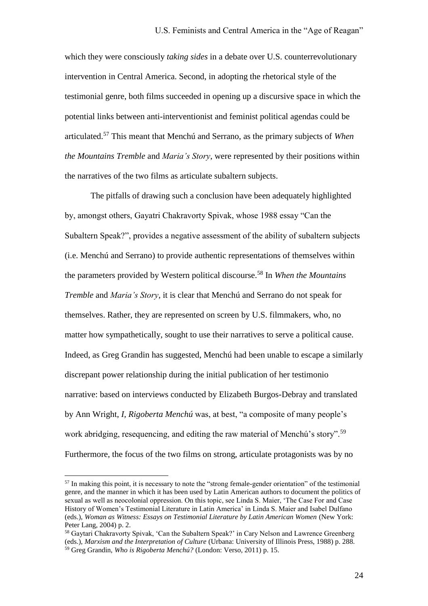which they were consciously *taking sides* in a debate over U.S. counterrevolutionary intervention in Central America. Second, in adopting the rhetorical style of the testimonial genre, both films succeeded in opening up a discursive space in which the potential links between anti-interventionist and feminist political agendas could be articulated.<sup>57</sup> This meant that Menchú and Serrano, as the primary subjects of *When the Mountains Tremble* and *Maria's Story*, were represented by their positions within the narratives of the two films as articulate subaltern subjects.

The pitfalls of drawing such a conclusion have been adequately highlighted by, amongst others, Gayatri Chakravorty Spivak, whose 1988 essay "Can the Subaltern Speak?", provides a negative assessment of the ability of subaltern subjects (i.e. Menchú and Serrano) to provide authentic representations of themselves within the parameters provided by Western political discourse.<sup>58</sup> In *When the Mountains Tremble* and *Maria's Story*, it is clear that Menchú and Serrano do not speak for themselves. Rather, they are represented on screen by U.S. filmmakers, who, no matter how sympathetically, sought to use their narratives to serve a political cause. Indeed, as Greg Grandin has suggested, Menchú had been unable to escape a similarly discrepant power relationship during the initial publication of her testimonio narrative: based on interviews conducted by Elizabeth Burgos-Debray and translated by Ann Wright, *I, Rigoberta Menchú* was, at best, "a composite of many people's work abridging, resequencing, and editing the raw material of Menchú's story".<sup>59</sup> Furthermore, the focus of the two films on strong, articulate protagonists was by no

<sup>&</sup>lt;sup>57</sup> In making this point, it is necessary to note the "strong female-gender orientation" of the testimonial genre, and the manner in which it has been used by Latin American authors to document the politics of sexual as well as neocolonial oppression. On this topic, see Linda S. Maier, 'The Case For and Case History of Women's Testimonial Literature in Latin America' in Linda S. Maier and Isabel Dulfano (eds.), *Woman as Witness: Essays on Testimonial Literature by Latin American Women* (New York: Peter Lang, 2004) p. 2.

<sup>58</sup> Gaytari Chakravorty Spivak, 'Can the Subaltern Speak?' in Cary Nelson and Lawrence Greenberg (eds.), *Marxism and the Interpretation of Culture* (Urbana: University of Illinois Press, 1988) p. 288. <sup>59</sup> Greg Grandin, *Who is Rigoberta Menchú?* (London: Verso, 2011) p. 15.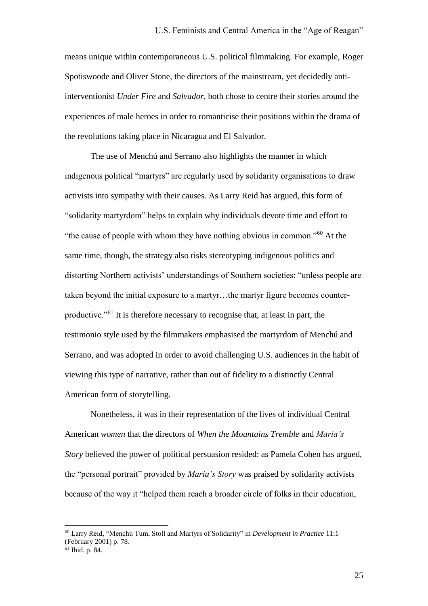means unique within contemporaneous U.S. political filmmaking. For example, Roger Spotiswoode and Oliver Stone, the directors of the mainstream, yet decidedly antiinterventionist *Under Fire* and *Salvador*, both chose to centre their stories around the experiences of male heroes in order to romanticise their positions within the drama of the revolutions taking place in Nicaragua and El Salvador.

The use of Menchú and Serrano also highlights the manner in which indigenous political "martyrs" are regularly used by solidarity organisations to draw activists into sympathy with their causes. As Larry Reid has argued, this form of "solidarity martyrdom" helps to explain why individuals devote time and effort to "the cause of people with whom they have nothing obvious in common."<sup>60</sup> At the same time, though, the strategy also risks stereotyping indigenous politics and distorting Northern activists' understandings of Southern societies: "unless people are taken beyond the initial exposure to a martyr…the martyr figure becomes counterproductive."<sup>61</sup> It is therefore necessary to recognise that, at least in part, the testimonio style used by the filmmakers emphasised the martyrdom of Menchú and Serrano, and was adopted in order to avoid challenging U.S. audiences in the habit of viewing this type of narrative, rather than out of fidelity to a distinctly Central American form of storytelling.

Nonetheless, it was in their representation of the lives of individual Central American *women* that the directors of *When the Mountains Tremble* and *Maria's Story* believed the power of political persuasion resided: as Pamela Cohen has argued, the "personal portrait" provided by *Maria's Story* was praised by solidarity activists because of the way it "helped them reach a broader circle of folks in their education,

<sup>60</sup> Larry Reid, "Menchú Tum, Stoll and Martyrs of Solidarity" in *Development in Practice* 11:1 (February 2001) p. 78.

<sup>61</sup> Ibid. p. 84.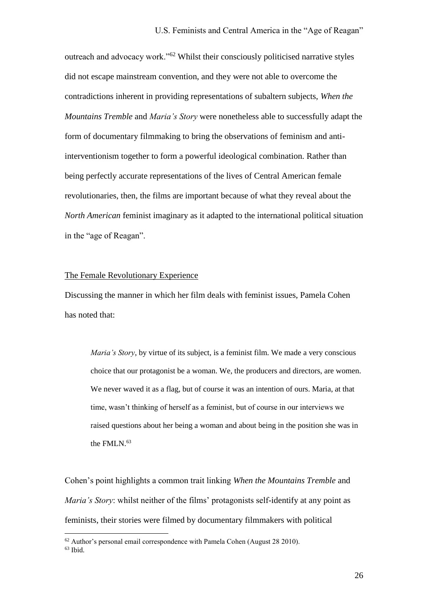outreach and advocacy work."<sup>62</sup> Whilst their consciously politicised narrative styles did not escape mainstream convention, and they were not able to overcome the contradictions inherent in providing representations of subaltern subjects, *When the Mountains Tremble* and *Maria's Story* were nonetheless able to successfully adapt the form of documentary filmmaking to bring the observations of feminism and antiinterventionism together to form a powerful ideological combination. Rather than being perfectly accurate representations of the lives of Central American female revolutionaries, then, the films are important because of what they reveal about the *North American* feminist imaginary as it adapted to the international political situation in the "age of Reagan".

#### The Female Revolutionary Experience

Discussing the manner in which her film deals with feminist issues, Pamela Cohen has noted that:

*Maria's Story*, by virtue of its subject, is a feminist film. We made a very conscious choice that our protagonist be a woman. We, the producers and directors, are women. We never waved it as a flag, but of course it was an intention of ours. Maria, at that time, wasn't thinking of herself as a feminist, but of course in our interviews we raised questions about her being a woman and about being in the position she was in the FMLN.<sup>63</sup>

Cohen's point highlights a common trait linking *When the Mountains Tremble* and *Maria's Story*: whilst neither of the films' protagonists self-identify at any point as feminists, their stories were filmed by documentary filmmakers with political

 $62$  Author's personal email correspondence with Pamela Cohen (August 28 2010).

 $63$  Ibid.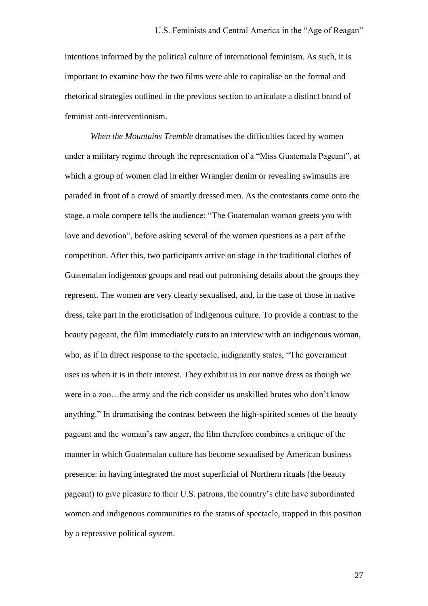intentions informed by the political culture of international feminism. As such, it is important to examine how the two films were able to capitalise on the formal and rhetorical strategies outlined in the previous section to articulate a distinct brand of feminist anti-interventionism.

*When the Mountains Tremble* dramatises the difficulties faced by women under a military regime through the representation of a "Miss Guatemala Pageant", at which a group of women clad in either Wrangler denim or revealing swimsuits are paraded in front of a crowd of smartly dressed men. As the contestants come onto the stage, a male compere tells the audience: "The Guatemalan woman greets you with love and devotion", before asking several of the women questions as a part of the competition. After this, two participants arrive on stage in the traditional clothes of Guatemalan indigenous groups and read out patronising details about the groups they represent. The women are very clearly sexualised, and, in the case of those in native dress, take part in the eroticisation of indigenous culture. To provide a contrast to the beauty pageant, the film immediately cuts to an interview with an indigenous woman, who, as if in direct response to the spectacle, indignantly states, "The government uses us when it is in their interest. They exhibit us in our native dress as though we were in a zoo…the army and the rich consider us unskilled brutes who don't know anything." In dramatising the contrast between the high-spirited scenes of the beauty pageant and the woman's raw anger, the film therefore combines a critique of the manner in which Guatemalan culture has become sexualised by American business presence: in having integrated the most superficial of Northern rituals (the beauty pageant) to give pleasure to their U.S. patrons, the country's elite have subordinated women and indigenous communities to the status of spectacle, trapped in this position by a repressive political system.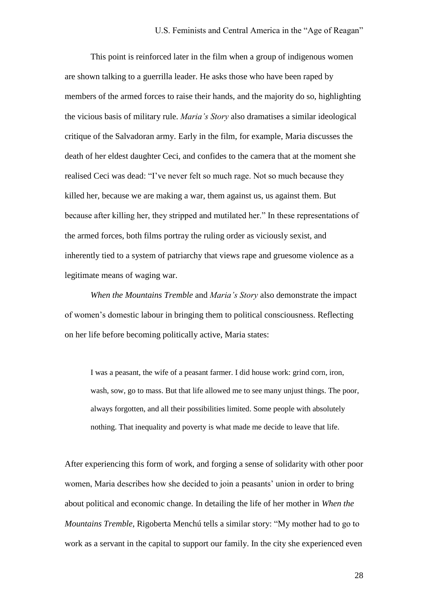This point is reinforced later in the film when a group of indigenous women are shown talking to a guerrilla leader. He asks those who have been raped by members of the armed forces to raise their hands, and the majority do so, highlighting the vicious basis of military rule. *Maria's Story* also dramatises a similar ideological critique of the Salvadoran army. Early in the film, for example, Maria discusses the death of her eldest daughter Ceci, and confides to the camera that at the moment she realised Ceci was dead: "I've never felt so much rage. Not so much because they killed her, because we are making a war, them against us, us against them. But because after killing her, they stripped and mutilated her." In these representations of the armed forces, both films portray the ruling order as viciously sexist, and inherently tied to a system of patriarchy that views rape and gruesome violence as a legitimate means of waging war.

*When the Mountains Tremble* and *Maria's Story* also demonstrate the impact of women's domestic labour in bringing them to political consciousness. Reflecting on her life before becoming politically active, Maria states:

I was a peasant, the wife of a peasant farmer. I did house work: grind corn, iron, wash, sow, go to mass. But that life allowed me to see many unjust things. The poor, always forgotten, and all their possibilities limited. Some people with absolutely nothing. That inequality and poverty is what made me decide to leave that life.

After experiencing this form of work, and forging a sense of solidarity with other poor women, Maria describes how she decided to join a peasants' union in order to bring about political and economic change. In detailing the life of her mother in *When the Mountains Tremble*, Rigoberta Menchú tells a similar story: "My mother had to go to work as a servant in the capital to support our family. In the city she experienced even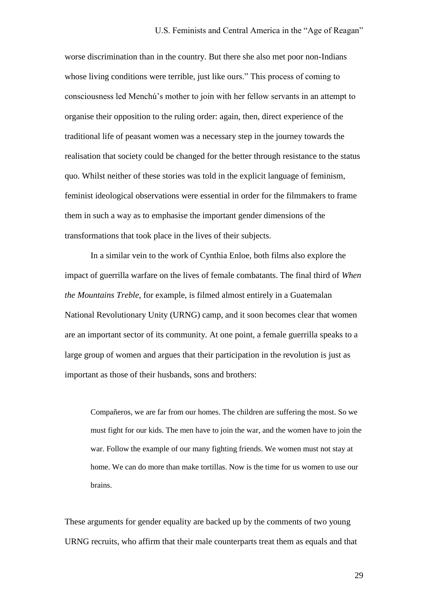worse discrimination than in the country. But there she also met poor non-Indians whose living conditions were terrible, just like ours." This process of coming to consciousness led Menchú's mother to join with her fellow servants in an attempt to organise their opposition to the ruling order: again, then, direct experience of the traditional life of peasant women was a necessary step in the journey towards the realisation that society could be changed for the better through resistance to the status quo. Whilst neither of these stories was told in the explicit language of feminism, feminist ideological observations were essential in order for the filmmakers to frame them in such a way as to emphasise the important gender dimensions of the transformations that took place in the lives of their subjects.

In a similar vein to the work of Cynthia Enloe, both films also explore the impact of guerrilla warfare on the lives of female combatants. The final third of *When the Mountains Treble*, for example, is filmed almost entirely in a Guatemalan National Revolutionary Unity (URNG) camp, and it soon becomes clear that women are an important sector of its community. At one point, a female guerrilla speaks to a large group of women and argues that their participation in the revolution is just as important as those of their husbands, sons and brothers:

Compañeros, we are far from our homes. The children are suffering the most. So we must fight for our kids. The men have to join the war, and the women have to join the war. Follow the example of our many fighting friends. We women must not stay at home. We can do more than make tortillas. Now is the time for us women to use our brains.

These arguments for gender equality are backed up by the comments of two young URNG recruits, who affirm that their male counterparts treat them as equals and that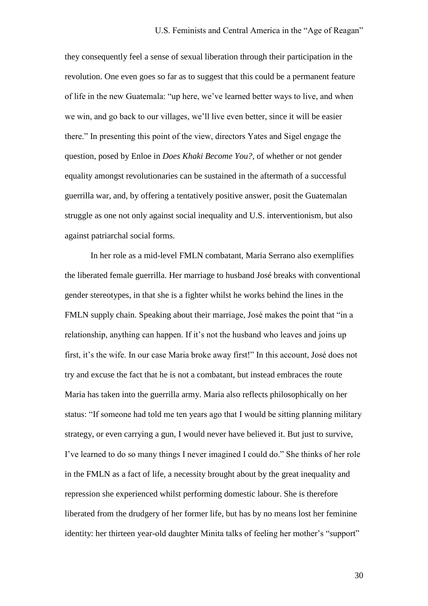they consequently feel a sense of sexual liberation through their participation in the revolution. One even goes so far as to suggest that this could be a permanent feature of life in the new Guatemala: "up here, we've learned better ways to live, and when we win, and go back to our villages, we'll live even better, since it will be easier there." In presenting this point of the view, directors Yates and Sigel engage the question, posed by Enloe in *Does Khaki Become You?*, of whether or not gender equality amongst revolutionaries can be sustained in the aftermath of a successful guerrilla war, and, by offering a tentatively positive answer, posit the Guatemalan struggle as one not only against social inequality and U.S. interventionism, but also against patriarchal social forms.

In her role as a mid-level FMLN combatant, Maria Serrano also exemplifies the liberated female guerrilla. Her marriage to husband José breaks with conventional gender stereotypes, in that she is a fighter whilst he works behind the lines in the FMLN supply chain. Speaking about their marriage, José makes the point that "in a relationship, anything can happen. If it's not the husband who leaves and joins up first, it's the wife. In our case Maria broke away first!" In this account, José does not try and excuse the fact that he is not a combatant, but instead embraces the route Maria has taken into the guerrilla army. Maria also reflects philosophically on her status: "If someone had told me ten years ago that I would be sitting planning military strategy, or even carrying a gun, I would never have believed it. But just to survive, I've learned to do so many things I never imagined I could do." She thinks of her role in the FMLN as a fact of life, a necessity brought about by the great inequality and repression she experienced whilst performing domestic labour. She is therefore liberated from the drudgery of her former life, but has by no means lost her feminine identity: her thirteen year-old daughter Minita talks of feeling her mother's "support"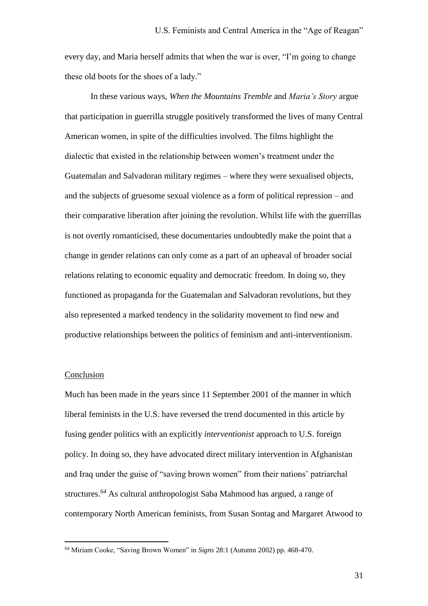every day, and Maria herself admits that when the war is over, "I'm going to change these old boots for the shoes of a lady."

In these various ways, *When the Mountains Tremble* and *Maria's Story* argue that participation in guerrilla struggle positively transformed the lives of many Central American women, in spite of the difficulties involved. The films highlight the dialectic that existed in the relationship between women's treatment under the Guatemalan and Salvadoran military regimes – where they were sexualised objects, and the subjects of gruesome sexual violence as a form of political repression – and their comparative liberation after joining the revolution. Whilst life with the guerrillas is not overtly romanticised, these documentaries undoubtedly make the point that a change in gender relations can only come as a part of an upheaval of broader social relations relating to economic equality and democratic freedom. In doing so, they functioned as propaganda for the Guatemalan and Salvadoran revolutions, but they also represented a marked tendency in the solidarity movement to find new and productive relationships between the politics of feminism and anti-interventionism.

#### Conclusion

Much has been made in the years since 11 September 2001 of the manner in which liberal feminists in the U.S. have reversed the trend documented in this article by fusing gender politics with an explicitly *interventionist* approach to U.S. foreign policy. In doing so, they have advocated direct military intervention in Afghanistan and Iraq under the guise of "saving brown women" from their nations' patriarchal structures.<sup>64</sup> As cultural anthropologist Saba Mahmood has argued, a range of contemporary North American feminists, from Susan Sontag and Margaret Atwood to

<sup>64</sup> Miriam Cooke, "Saving Brown Women" in *Signs* 28:1 (Autumn 2002) pp. 468-470.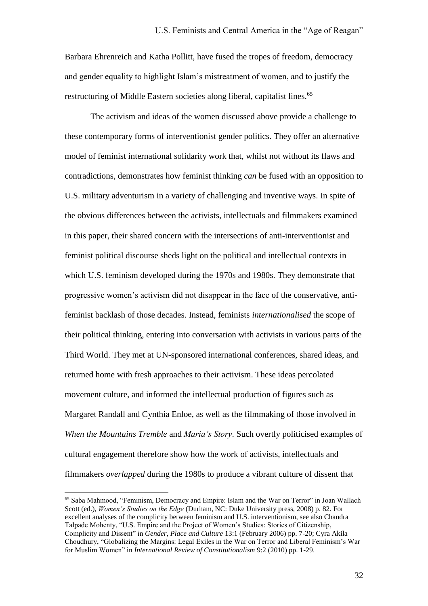Barbara Ehrenreich and Katha Pollitt, have fused the tropes of freedom, democracy and gender equality to highlight Islam's mistreatment of women, and to justify the restructuring of Middle Eastern societies along liberal, capitalist lines. 65

The activism and ideas of the women discussed above provide a challenge to these contemporary forms of interventionist gender politics. They offer an alternative model of feminist international solidarity work that, whilst not without its flaws and contradictions, demonstrates how feminist thinking *can* be fused with an opposition to U.S. military adventurism in a variety of challenging and inventive ways. In spite of the obvious differences between the activists, intellectuals and filmmakers examined in this paper, their shared concern with the intersections of anti-interventionist and feminist political discourse sheds light on the political and intellectual contexts in which U.S. feminism developed during the 1970s and 1980s. They demonstrate that progressive women's activism did not disappear in the face of the conservative, antifeminist backlash of those decades. Instead, feminists *internationalised* the scope of their political thinking, entering into conversation with activists in various parts of the Third World. They met at UN-sponsored international conferences, shared ideas, and returned home with fresh approaches to their activism. These ideas percolated movement culture, and informed the intellectual production of figures such as Margaret Randall and Cynthia Enloe, as well as the filmmaking of those involved in *When the Mountains Tremble* and *Maria's Story*. Such overtly politicised examples of cultural engagement therefore show how the work of activists, intellectuals and filmmakers *overlapped* during the 1980s to produce a vibrant culture of dissent that

<sup>65</sup> Saba Mahmood, "Feminism, Democracy and Empire: Islam and the War on Terror" in Joan Wallach Scott (ed.), *Women's Studies on the Edge* (Durham, NC: Duke University press, 2008) p. 82. For excellent analyses of the complicity between feminism and U.S. interventionism, see also Chandra Talpade Mohenty, "U.S. Empire and the Project of Women's Studies: Stories of Citizenship, Complicity and Dissent" in *Gender, Place and Culture* 13:1 (February 2006) pp. 7-20; Cyra Akila Choudhury, "Globalizing the Margins: Legal Exiles in the War on Terror and Liberal Feminism's War for Muslim Women" in *International Review of Constitutionalism* 9:2 (2010) pp. 1-29.